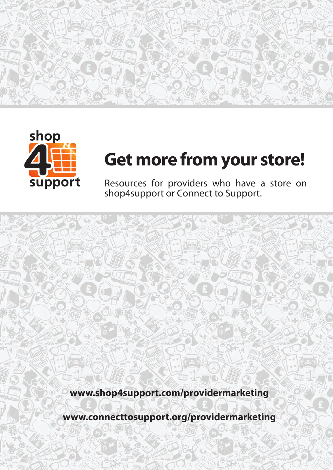



# **Get more from your store!**

Resources for providers who have a store on shop4support or Connect to Support.

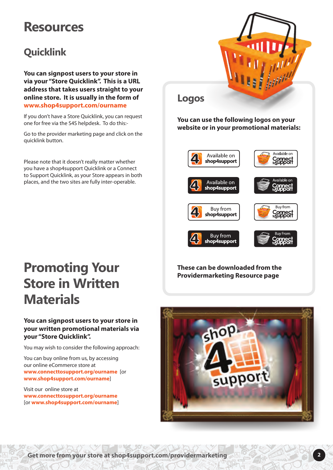### **Resources**

### **Quicklink**

**You can signpost users to your store in via your "Store Quicklink". This is a URL address that takes users straight to your online store. It is usually in the form of www.shop4support.com/ourname**

If you don't have a Store Quicklink, you can request one for free via the S4S helpdesk. To do this:-

Go to the provider marketing page and click on the quicklink button.

Please note that it doesn't really matter whether you have a shop4support Quicklink or a Connect to Support Quicklink, as your Store appears in both places, and the two sites are fully inter-operable.



**You can use the following logos on your website or in your promotional materials:**

**Logos**



## **Promoting Your Store in Written Materials**

#### **You can signpost users to your store in your written promotional materials via your "Store Quicklink".**

You may wish to consider the following approach:

You can buy online from us, by accessing our online eCommerce store at **www.connecttosupport.org/ourname** [or **www.shop4support.com/ourname**]

Visit our online store at **www.connecttosupport.org/ourname** [or **www.shop4support.com/ourname**] **These can be downloaded from the Providermarketing Resource page**



**Get more from your store at shop4support.com/providermarketing 2**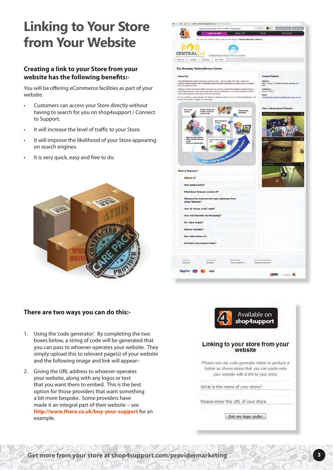### **Linking to Your Store from Your Website**

#### **Creating a link to your Store from your website has the following benefits:-**

You will be offering eCommerce facilities as part of your website.

- Customers can access your Store directly without having to search for you on shop4support / Connect to Support.
- It will increase the level of traffic to your Store.
- It will improve the likelihood of your Store appearing on search engines.
- It is very quick, easy and free to do.





#### **There are two ways you can do this:-**

- 1. Using the 'code generator'. By completing the two boxes below, a string of code will be generated that you can pass to whoever operates your website. They simply upload this to relevant page(s) of your website and the following image and link will appear:-
- 2. Giving the URL address to whoever operates your website, along with any logos or text that you want them to embed. This is the best option for those providers that want something a bit more bespoke. Some providers have made it an integral part of their website – see **http://www.thera.co.uk/buy-your-support** for an example.



**Get more from your store at shop4support.com/providermarketing 3**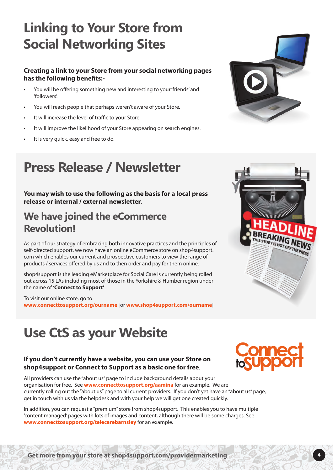### **Linking to Your Store from Social Networking Sites**

#### **Creating a link to your Store from your social networking pages has the following benefits:-**

- You will be offering something new and interesting to your 'friends' and 'followers'.
- You will reach people that perhaps weren't aware of your Store.
- It will increase the level of traffic to your Store.
- It will improve the likelihood of your Store appearing on search engines.
- It is very quick, easy and free to do.

### **Press Release / Newsletter**

**You may wish to use the following as the basis for a local press release or internal / external newsletter**.

### **We have joined the eCommerce Revolution!**

As part of our strategy of embracing both innovative practices and the principles of self-directed support, we now have an online eCommerce store on shop4support. com which enables our current and prospective customers to view the range of products / services offered by us and to then order and pay for them online.

shop4support is the leading eMarketplace for Social Care is currently being rolled out across 15 LAs including most of those in the Yorkshire & Humber region under the name of **'Connect to Support'** 

To visit our online store, go to **www.connecttosupport.org/ourname** [or **www.shop4support.com/ourname**]

### **Use CtS as your Website**

#### **If you don't currently have a website, you can use your Store on shop4support or Connect to Support as a basic one for free**.

All providers can use the "about us" page to include background details about your organisation for free. See **www.connecttosupport.org/aamina** for an example. We are currently rolling out the "about us" page to all current providers. If you don't yet have an "about us" page, get in touch with us via the helpdesk and with your help we will get one created quickly.

In addition, you can request a "premium" store from shop4support. This enables you to have multiple 'content managed' pages with lots of images and content, although there will be some charges. See **www.connecttosupport.org/telecarebarnsley** for an example.





IREAKING NEWS